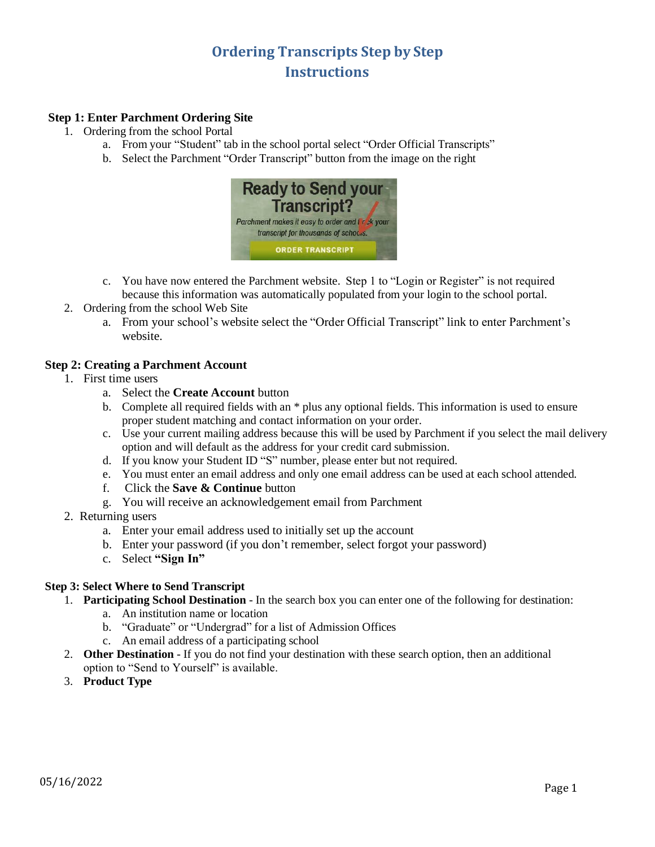# **Ordering Transcripts Step by Step Instructions**

## **Step 1: Enter Parchment Ordering Site**

- 1. Ordering from the school Portal
	- a. From your "Student" tab in the school portal select "Order Official Transcripts"
	- b. Select the Parchment "Order Transcript" button from the image on the right



- c. You have now entered the Parchment website. Step 1 to "Login or Register" is not required because this information was automatically populated from your login to the school portal.
- 2. Ordering from the school Web Site
	- a. From your school's website select the "Order Official Transcript" link to enter Parchment's website.

## **Step 2: Creating a Parchment Account**

- 1. First time users
	- a. Select the **Create Account** button
	- b. Complete all required fields with an \* plus any optional fields. This information is used to ensure proper student matching and contact information on your order.
	- c. Use your current mailing address because this will be used by Parchment if you select the mail delivery option and will default as the address for your credit card submission.
	- d. If you know your Student ID "S" number, please enter but not required.
	- e. You must enter an email address and only one email address can be used at each school attended.
	- f. Click the **Save & Continue** button
	- g. You will receive an acknowledgement email from Parchment
- 2. Returning users
	- a. Enter your email address used to initially set up the account
	- b. Enter your password (if you don't remember, select forgot your password)
	- c. Select **"Sign In"**

#### **Step 3: Select Where to Send Transcript**

- 1. **Participating School Destination** In the search box you can enter one of the following for destination:
	- a. An institution name or location
	- b. "Graduate" or "Undergrad" for a list of Admission Offices
	- c. An email address of a participating school
- 2. **Other Destination** If you do not find your destination with these search option, then an additional option to "Send to Yourself" is available.
- 3. **Product Type**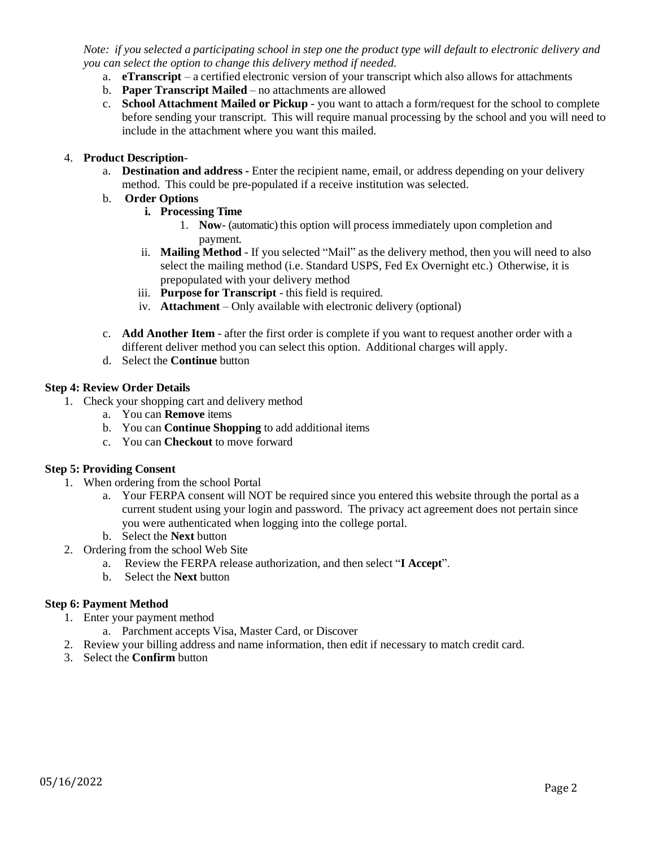Note: if you selected a participating school in step one the product type will default to electronic delivery and *you can select the option to change this delivery method if needed.*

- a. **eTranscript** a certified electronic version of your transcript which also allows for attachments
- b. **Paper Transcript Mailed** no attachments are allowed
- c. **School Attachment Mailed or Pickup** you want to attach a form/request for the school to complete before sending your transcript. This will require manual processing by the school and you will need to include in the attachment where you want this mailed.

### 4. **Product Description**-

a. **Destination and address -** Enter the recipient name, email, or address depending on your delivery method. This could be pre-populated if a receive institution was selected.

## b. **Order Options**

- **i. Processing Time**
	- 1. **Now** (automatic) this option will process immediately upon completion and payment.
- ii. **Mailing Method** If you selected "Mail" as the delivery method, then you will need to also select the mailing method (i.e. Standard USPS, Fed Ex Overnight etc.) Otherwise, it is prepopulated with your delivery method
- iii. **Purpose for Transcript** this field is required.
- iv. **Attachment** Only available with electronic delivery (optional)
- c. **Add Another Item**  after the first order is complete if you want to request another order with a different deliver method you can select this option. Additional charges will apply.
- d. Select the **Continue** button

#### **Step 4: Review Order Details**

- 1. Check your shopping cart and delivery method
	- a. You can **Remove** items
	- b. You can **Continue Shopping** to add additional items
	- c. You can **Checkout** to move forward

#### **Step 5: Providing Consent**

- 1. When ordering from the school Portal
	- a. Your FERPA consent will NOT be required since you entered this website through the portal as a current student using your login and password. The privacy act agreement does not pertain since you were authenticated when logging into the college portal.
	- b. Select the **Next** button
- 2. Ordering from the school Web Site
	- a. Review the FERPA release authorization, and then select "**I Accept**".
	- b. Select the **Next** button

#### **Step 6: Payment Method**

- 1. Enter your payment method
	- a. Parchment accepts Visa, Master Card, or Discover
- 2. Review your billing address and name information, then edit if necessary to match credit card.
- 3. Select the **Confirm** button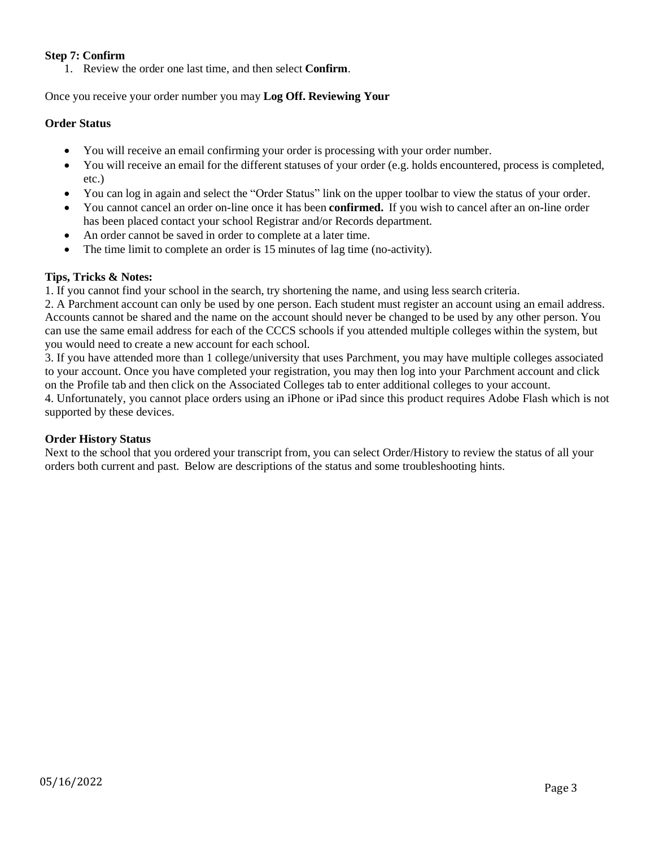## **Step 7: Confirm**

1. Review the order one last time, and then select **Confirm**.

Once you receive your order number you may **Log Off. Reviewing Your** 

## **Order Status**

- You will receive an email confirming your order is processing with your order number.
- You will receive an email for the different statuses of your order (e.g. holds encountered, process is completed, etc.)
- You can log in again and select the "Order Status" link on the upper toolbar to view the status of your order.
- You cannot cancel an order on-line once it has been **confirmed.** If you wish to cancel after an on-line order has been placed contact your school Registrar and/or Records department.
- An order cannot be saved in order to complete at a later time.
- The time limit to complete an order is 15 minutes of lag time (no-activity).

#### **Tips, Tricks & Notes:**

1. If you cannot find your school in the search, try shortening the name, and using less search criteria.

2. A Parchment account can only be used by one person. Each student must register an account using an email address. Accounts cannot be shared and the name on the account should never be changed to be used by any other person. You can use the same email address for each of the CCCS schools if you attended multiple colleges within the system, but you would need to create a new account for each school.

3. If you have attended more than 1 college/university that uses Parchment, you may have multiple colleges associated to your account. Once you have completed your registration, you may then log into your Parchment account and click on the Profile tab and then click on the Associated Colleges tab to enter additional colleges to your account.

4. Unfortunately, you cannot place orders using an iPhone or iPad since this product requires Adobe Flash which is not supported by these devices.

#### **Order History Status**

Next to the school that you ordered your transcript from, you can select Order/History to review the status of all your orders both current and past. Below are descriptions of the status and some troubleshooting hints.